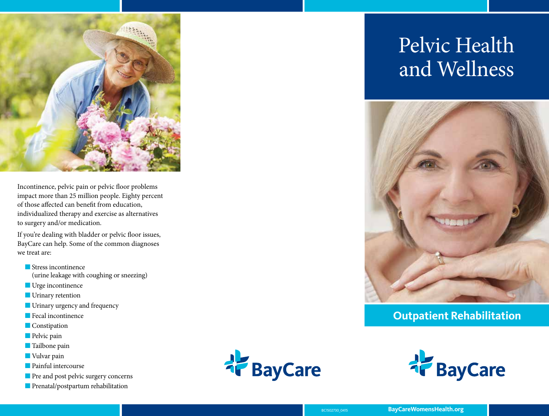

Incontinence, pelvic pain or pelvic floor problems impact more than 25 million people. Eighty percent of those affected can benefit from education, individualized therapy and exercise as alternatives to surgery and/or medication.

If you're dealing with bladder or pelvic floor issues, BayCare can help. Some of the common diagnoses we treat are:

- $\blacksquare$  Stress incontinence (urine leakage with coughing or sneezing)
- **N** Urge incontinence
- **N** Urinary retention
- **n** Urinary urgency and frequency
- $\blacksquare$  Fecal incontinence
- **n** Constipation
- $\blacksquare$  Pelvic pain
- **n** Tailbone pain
- **Nulvar pain**
- $\blacksquare$  Painful intercourse
- **n** Pre and post pelvic surgery concerns





# Pelvic Health and Wellness



# **Outpatient Rehabilitation**